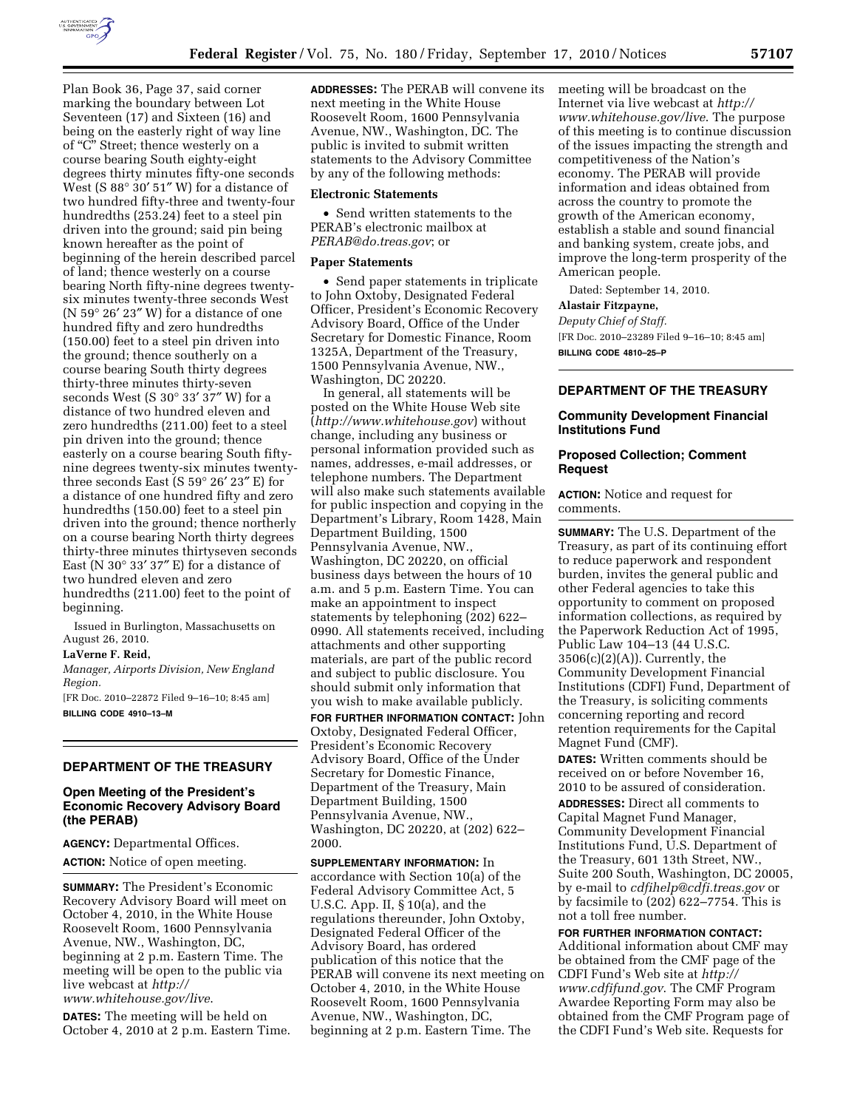

Plan Book 36, Page 37, said corner marking the boundary between Lot Seventeen (17) and Sixteen (16) and being on the easterly right of way line of ''C'' Street; thence westerly on a course bearing South eighty-eight degrees thirty minutes fifty-one seconds West (S 88° 30′ 51″ W) for a distance of two hundred fifty-three and twenty-four hundredths (253.24) feet to a steel pin driven into the ground; said pin being known hereafter as the point of beginning of the herein described parcel of land; thence westerly on a course bearing North fifty-nine degrees twentysix minutes twenty-three seconds West (N 59° 26′ 23″ W) for a distance of one hundred fifty and zero hundredths (150.00) feet to a steel pin driven into the ground; thence southerly on a course bearing South thirty degrees thirty-three minutes thirty-seven seconds West (S 30° 33′ 37″ W) for a distance of two hundred eleven and zero hundredths (211.00) feet to a steel pin driven into the ground; thence easterly on a course bearing South fiftynine degrees twenty-six minutes twentythree seconds East (S 59° 26′ 23″ E) for a distance of one hundred fifty and zero hundredths (150.00) feet to a steel pin driven into the ground; thence northerly on a course bearing North thirty degrees thirty-three minutes thirtyseven seconds East (N 30° 33′ 37″ E) for a distance of two hundred eleven and zero hundredths (211.00) feet to the point of beginning.

Issued in Burlington, Massachusetts on August 26, 2010.

**LaVerne F. Reid,** 

*Manager, Airports Division, New England Region.* 

[FR Doc. 2010–22872 Filed 9–16–10; 8:45 am] **BILLING CODE 4910–13–M** 

#### **DEPARTMENT OF THE TREASURY**

### **Open Meeting of the President's Economic Recovery Advisory Board (the PERAB)**

**AGENCY:** Departmental Offices. **ACTION:** Notice of open meeting.

**SUMMARY:** The President's Economic Recovery Advisory Board will meet on October 4, 2010, in the White House Roosevelt Room, 1600 Pennsylvania Avenue, NW., Washington, DC, beginning at 2 p.m. Eastern Time. The meeting will be open to the public via live webcast at *[http://](http://www.whitehouse.gov/live)  [www.whitehouse.gov/live](http://www.whitehouse.gov/live)*.

**DATES:** The meeting will be held on October 4, 2010 at 2 p.m. Eastern Time. **ADDRESSES:** The PERAB will convene its next meeting in the White House Roosevelt Room, 1600 Pennsylvania Avenue, NW., Washington, DC. The public is invited to submit written statements to the Advisory Committee by any of the following methods:

#### **Electronic Statements**

• Send written statements to the PERAB's electronic mailbox at *[PERAB@do.treas.gov](mailto:PERAB@do.treas.gov)*; or

### **Paper Statements**

• Send paper statements in triplicate to John Oxtoby, Designated Federal Officer, President's Economic Recovery Advisory Board, Office of the Under Secretary for Domestic Finance, Room 1325A, Department of the Treasury, 1500 Pennsylvania Avenue, NW., Washington, DC 20220.

In general, all statements will be posted on the White House Web site (*<http://www.whitehouse.gov>*) without change, including any business or personal information provided such as names, addresses, e-mail addresses, or telephone numbers. The Department will also make such statements available for public inspection and copying in the Department's Library, Room 1428, Main Department Building, 1500 Pennsylvania Avenue, NW., Washington, DC 20220, on official business days between the hours of 10 a.m. and 5 p.m. Eastern Time. You can make an appointment to inspect statements by telephoning (202) 622– 0990. All statements received, including attachments and other supporting materials, are part of the public record and subject to public disclosure. You should submit only information that you wish to make available publicly. **FOR FURTHER INFORMATION CONTACT:** John Oxtoby, Designated Federal Officer, President's Economic Recovery Advisory Board, Office of the Under Secretary for Domestic Finance, Department of the Treasury, Main Department Building, 1500 Pennsylvania Avenue, NW., Washington, DC 20220, at (202) 622– 2000.

**SUPPLEMENTARY INFORMATION:** In accordance with Section 10(a) of the Federal Advisory Committee Act, 5 U.S.C. App. II, § 10(a), and the regulations thereunder, John Oxtoby, Designated Federal Officer of the Advisory Board, has ordered publication of this notice that the PERAB will convene its next meeting on October 4, 2010, in the White House Roosevelt Room, 1600 Pennsylvania Avenue, NW., Washington, DC, beginning at 2 p.m. Eastern Time. The

meeting will be broadcast on the Internet via live webcast at *[http://](http://www.whitehouse.gov/live)  [www.whitehouse.gov/live](http://www.whitehouse.gov/live)*. The purpose of this meeting is to continue discussion of the issues impacting the strength and competitiveness of the Nation's economy. The PERAB will provide information and ideas obtained from across the country to promote the growth of the American economy, establish a stable and sound financial and banking system, create jobs, and improve the long-term prosperity of the American people.

Dated: September 14, 2010.

### **Alastair Fitzpayne,**

*Deputy Chief of Staff.*  [FR Doc. 2010–23289 Filed 9–16–10; 8:45 am] **BILLING CODE 4810–25–P** 

# **DEPARTMENT OF THE TREASURY**

# **Community Development Financial Institutions Fund**

# **Proposed Collection; Comment Request**

**ACTION:** Notice and request for comments.

**SUMMARY:** The U.S. Department of the Treasury, as part of its continuing effort to reduce paperwork and respondent burden, invites the general public and other Federal agencies to take this opportunity to comment on proposed information collections, as required by the Paperwork Reduction Act of 1995, Public Law 104–13 (44 U.S.C. 3506(c)(2)(A)). Currently, the Community Development Financial Institutions (CDFI) Fund, Department of the Treasury, is soliciting comments concerning reporting and record retention requirements for the Capital Magnet Fund (CMF).

**DATES:** Written comments should be received on or before November 16, 2010 to be assured of consideration.

**ADDRESSES:** Direct all comments to Capital Magnet Fund Manager, Community Development Financial Institutions Fund, U.S. Department of the Treasury, 601 13th Street, NW., Suite 200 South, Washington, DC 20005, by e-mail to *[cdfihelp@cdfi.treas.gov](mailto:cdfihelp@cdfi.treas.gov)* or by facsimile to (202) 622–7754. This is not a toll free number.

**FOR FURTHER INFORMATION CONTACT:**  Additional information about CMF may be obtained from the CMF page of the CDFI Fund's Web site at *[http://](http://www.cdfifund.gov)  [www.cdfifund.gov](http://www.cdfifund.gov)*. The CMF Program Awardee Reporting Form may also be obtained from the CMF Program page of the CDFI Fund's Web site. Requests for